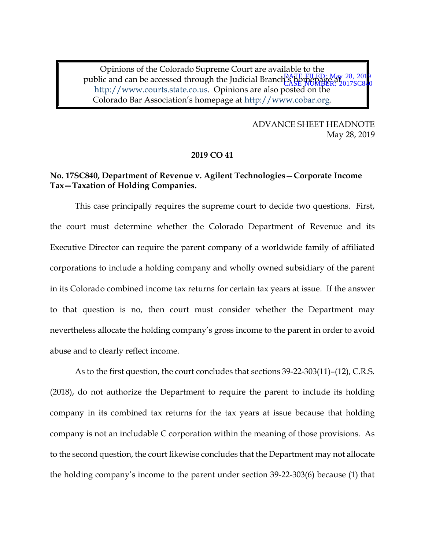Opinions of the Colorado Supreme Court are available to the public and can be accessed through the Judicial Branch's homepage at 0128, 2019 http://www.courts.state.co.us. Opinions are also posted on the Colorado Bar Association's homepage at http://www.cobar.org. CASE NUMBER: 2017SC840

> ADVANCE SHEET HEADNOTE May 28, 2019

### **2019 CO 41**

## **No. 17SC840, Department of Revenue v. Agilent Technologies—Corporate Income Tax—Taxation of Holding Companies.**

This case principally requires the supreme court to decide two questions. First, the court must determine whether the Colorado Department of Revenue and its Executive Director can require the parent company of a worldwide family of affiliated corporations to include a holding company and wholly owned subsidiary of the parent in its Colorado combined income tax returns for certain tax years at issue. If the answer to that question is no, then court must consider whether the Department may nevertheless allocate the holding company's gross income to the parent in order to avoid abuse and to clearly reflect income.

As to the first question, the court concludes that sections 39-22-303(11)–(12), C.R.S. (2018), do not authorize the Department to require the parent to include its holding company in its combined tax returns for the tax years at issue because that holding company is not an includable C corporation within the meaning of those provisions. As to the second question, the court likewise concludes that the Department may not allocate the holding company's income to the parent under section 39-22-303(6) because (1) that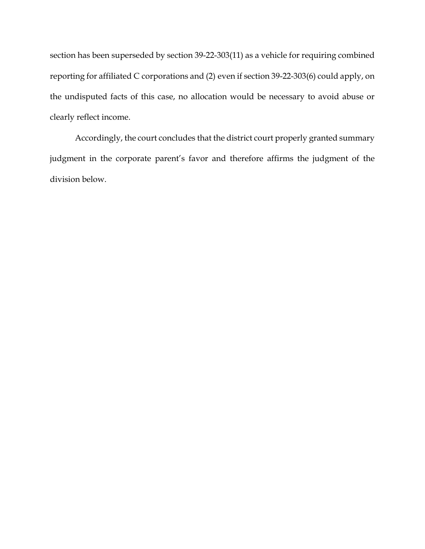section has been superseded by section 39-22-303(11) as a vehicle for requiring combined reporting for affiliated C corporations and (2) even if section 39-22-303(6) could apply, on the undisputed facts of this case, no allocation would be necessary to avoid abuse or clearly reflect income.

Accordingly, the court concludes that the district court properly granted summary judgment in the corporate parent's favor and therefore affirms the judgment of the division below.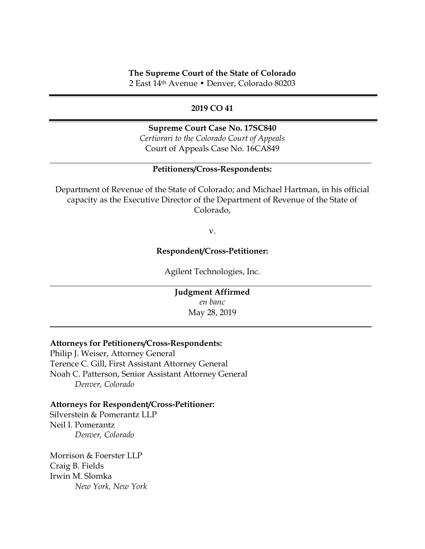### **The Supreme Court of the State of Colorado**

2 East 14th Avenue • Denver, Colorado 80203

## **2019 CO 41**

### **Supreme Court Case No. 17SC840**

*Certiorari to the Colorado Court of Appeals* Court of Appeals Case No. 16CA849

## **Petitioners/Cross-Respondents:**

Department of Revenue of the State of Colorado; and Michael Hartman, in his official capacity as the Executive Director of the Department of Revenue of the State of Colorado,

v.

## **Respondent/Cross-Petitioner:**

Agilent Technologies, Inc.

**Judgment Affirmed** *en banc* May 28, 2019

### **Attorneys for Petitioners/Cross-Respondents:**

Philip J. Weiser, Attorney General Terence C. Gill, First Assistant Attorney General Noah C. Patterson, Senior Assistant Attorney General *Denver, Colorado* 

### **Attorneys for Respondent/Cross-Petitioner:**

Silverstein & Pomerantz LLP Neil I. Pomerantz *Denver, Colorado*

Morrison & Foerster LLP Craig B. Fields Irwin M. Slomka *New York, New York*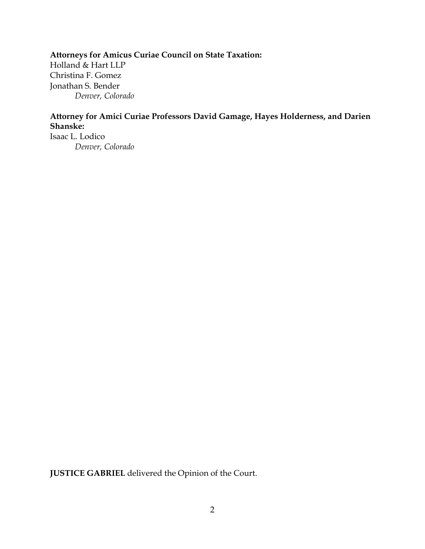# **Attorneys for Amicus Curiae Council on State Taxation:**

Holland & Hart LLP Christina F. Gomez Jonathan S. Bender *Denver, Colorado*

# **Attorney for Amici Curiae Professors David Gamage, Hayes Holderness, and Darien Shanske:**

Isaac L. Lodico *Denver, Colorado*

**JUSTICE GABRIEL** delivered the Opinion of the Court.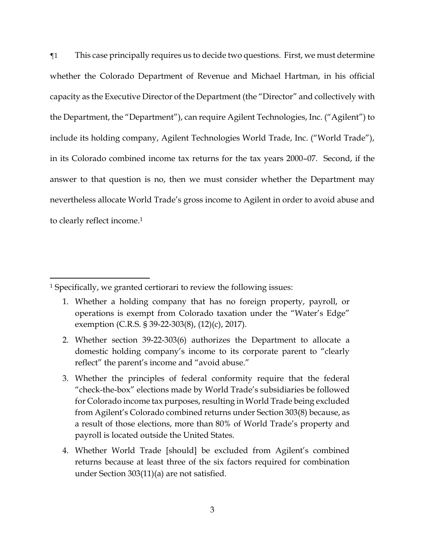¶1 This case principally requires us to decide two questions. First, we must determine whether the Colorado Department of Revenue and Michael Hartman, in his official capacity as the Executive Director of the Department (the "Director" and collectively with the Department, the "Department"), can require Agilent Technologies, Inc. ("Agilent") to include its holding company, Agilent Technologies World Trade, Inc. ("World Trade"), in its Colorado combined income tax returns for the tax years 2000–07. Second, if the answer to that question is no, then we must consider whether the Department may nevertheless allocate World Trade's gross income to Agilent in order to avoid abuse and to clearly reflect income. 1

 $\overline{\phantom{a}}$ 

<sup>1</sup> Specifically, we granted certiorari to review the following issues:

<sup>1.</sup> Whether a holding company that has no foreign property, payroll, or operations is exempt from Colorado taxation under the "Water's Edge" exemption (C.R.S. § 39-22-303(8), (12)(c), 2017).

<sup>2.</sup> Whether section 39-22-303(6) authorizes the Department to allocate a domestic holding company's income to its corporate parent to "clearly reflect" the parent's income and "avoid abuse."

<sup>3.</sup> Whether the principles of federal conformity require that the federal "check-the-box" elections made by World Trade's subsidiaries be followed for Colorado income tax purposes, resulting in World Trade being excluded from Agilent's Colorado combined returns under Section 303(8) because, as a result of those elections, more than 80% of World Trade's property and payroll is located outside the United States.

<sup>4.</sup> Whether World Trade [should] be excluded from Agilent's combined returns because at least three of the six factors required for combination under Section 303(11)(a) are not satisfied.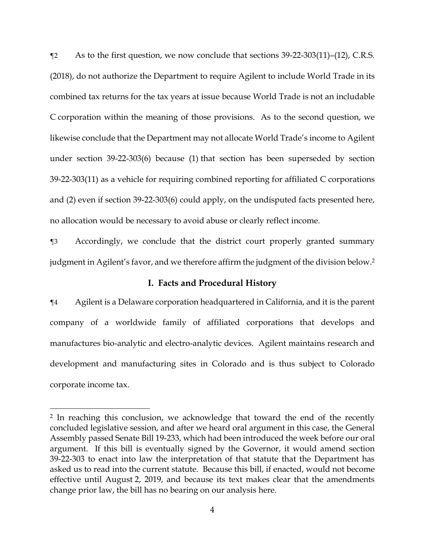¶2 As to the first question, we now conclude that sections 39-22-303(11)–(12), C.R.S. (2018), do not authorize the Department to require Agilent to include World Trade in its combined tax returns for the tax years at issue because World Trade is not an includable C corporation within the meaning of those provisions. As to the second question, we likewise conclude that the Department may not allocate World Trade's income to Agilent under section 39-22-303(6) because (1) that section has been superseded by section 39-22-303(11) as a vehicle for requiring combined reporting for affiliated C corporations and (2) even if section 39-22-303(6) could apply, on the undisputed facts presented here, no allocation would be necessary to avoid abuse or clearly reflect income.

¶3 Accordingly, we conclude that the district court properly granted summary judgment in Agilent's favor, and we therefore affirm the judgment of the division below. 2

## **I. Facts and Procedural History**

¶4 Agilent is a Delaware corporation headquartered in California, and it is the parent company of a worldwide family of affiliated corporations that develops and manufactures bio-analytic and electro-analytic devices. Agilent maintains research and development and manufacturing sites in Colorado and is thus subject to Colorado corporate income tax.

 $\overline{\phantom{a}}$ 

<sup>2</sup> In reaching this conclusion, we acknowledge that toward the end of the recently concluded legislative session, and after we heard oral argument in this case, the General Assembly passed Senate Bill 19-233, which had been introduced the week before our oral argument. If this bill is eventually signed by the Governor, it would amend section 39-22-303 to enact into law the interpretation of that statute that the Department has asked us to read into the current statute. Because this bill, if enacted, would not become effective until August 2, 2019, and because its text makes clear that the amendments change prior law, the bill has no bearing on our analysis here.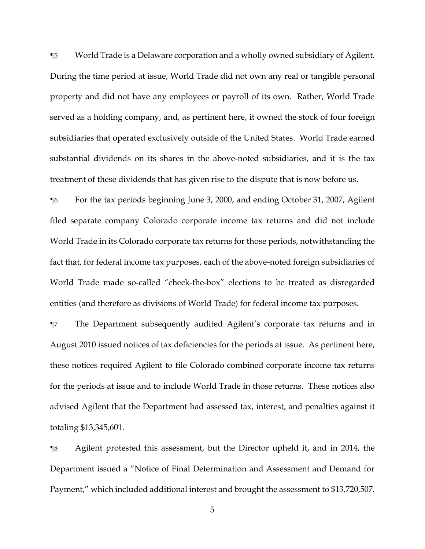¶5 World Trade is a Delaware corporation and a wholly owned subsidiary of Agilent. During the time period at issue, World Trade did not own any real or tangible personal property and did not have any employees or payroll of its own. Rather, World Trade served as a holding company, and, as pertinent here, it owned the stock of four foreign subsidiaries that operated exclusively outside of the United States. World Trade earned substantial dividends on its shares in the above-noted subsidiaries, and it is the tax treatment of these dividends that has given rise to the dispute that is now before us.

¶6 For the tax periods beginning June 3, 2000, and ending October 31, 2007, Agilent filed separate company Colorado corporate income tax returns and did not include World Trade in its Colorado corporate tax returns for those periods, notwithstanding the fact that, for federal income tax purposes, each of the above-noted foreign subsidiaries of World Trade made so-called "check-the-box" elections to be treated as disregarded entities (and therefore as divisions of World Trade) for federal income tax purposes.

¶7 The Department subsequently audited Agilent's corporate tax returns and in August 2010 issued notices of tax deficiencies for the periods at issue. As pertinent here, these notices required Agilent to file Colorado combined corporate income tax returns for the periods at issue and to include World Trade in those returns. These notices also advised Agilent that the Department had assessed tax, interest, and penalties against it totaling \$13,345,601.

¶8 Agilent protested this assessment, but the Director upheld it, and in 2014, the Department issued a "Notice of Final Determination and Assessment and Demand for Payment," which included additional interest and brought the assessment to \$13,720,507.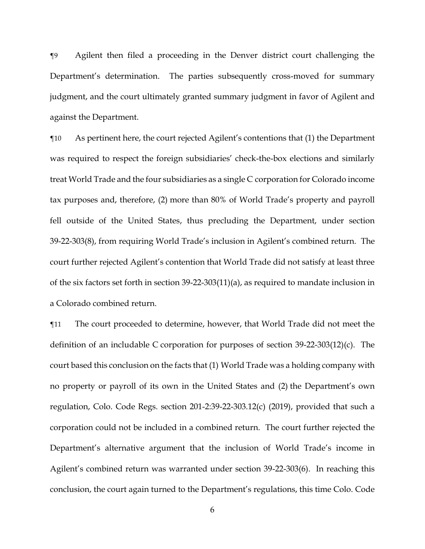¶9 Agilent then filed a proceeding in the Denver district court challenging the Department's determination. The parties subsequently cross-moved for summary judgment, and the court ultimately granted summary judgment in favor of Agilent and against the Department.

¶10 As pertinent here, the court rejected Agilent's contentions that (1) the Department was required to respect the foreign subsidiaries' check-the-box elections and similarly treat World Trade and the four subsidiaries as a single C corporation for Colorado income tax purposes and, therefore, (2) more than 80% of World Trade's property and payroll fell outside of the United States, thus precluding the Department, under section 39-22-303(8), from requiring World Trade's inclusion in Agilent's combined return. The court further rejected Agilent's contention that World Trade did not satisfy at least three of the six factors set forth in section 39-22-303(11)(a), as required to mandate inclusion in a Colorado combined return.

¶11 The court proceeded to determine, however, that World Trade did not meet the definition of an includable C corporation for purposes of section 39-22-303(12)(c). The court based this conclusion on the facts that (1) World Trade was a holding company with no property or payroll of its own in the United States and (2) the Department's own regulation, Colo. Code Regs. section 201-2:39-22-303.12(c) (2019), provided that such a corporation could not be included in a combined return. The court further rejected the Department's alternative argument that the inclusion of World Trade's income in Agilent's combined return was warranted under section 39-22-303(6). In reaching this conclusion, the court again turned to the Department's regulations, this time Colo. Code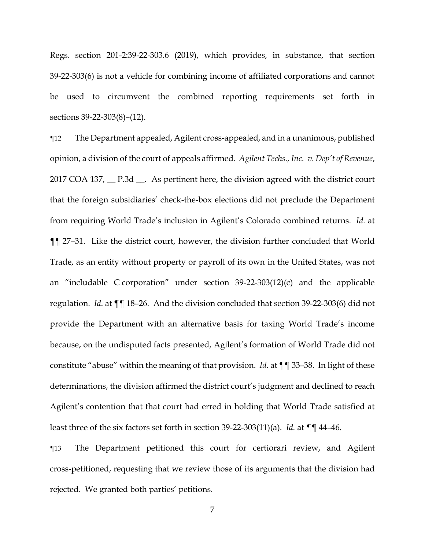Regs. section 201-2:39-22-303.6 (2019), which provides, in substance, that section 39-22-303(6) is not a vehicle for combining income of affiliated corporations and cannot be used to circumvent the combined reporting requirements set forth in sections 39-22-303(8)–(12).

¶12 The Department appealed, Agilent cross-appealed, and in a unanimous, published opinion, a division of the court of appeals affirmed. *Agilent Techs., Inc. v. Dep't of Revenue*, 2017 COA 137, <u>P.3d</u> As pertinent here, the division agreed with the district court that the foreign subsidiaries' check-the-box elections did not preclude the Department from requiring World Trade's inclusion in Agilent's Colorado combined returns. *Id.* at ¶¶ 27–31. Like the district court, however, the division further concluded that World Trade, as an entity without property or payroll of its own in the United States, was not an "includable C corporation" under section 39-22-303(12)(c) and the applicable regulation. *Id*. at ¶¶ 18–26. And the division concluded that section 39-22-303(6) did not provide the Department with an alternative basis for taxing World Trade's income because, on the undisputed facts presented, Agilent's formation of World Trade did not constitute "abuse" within the meaning of that provision. *Id*. at ¶¶ 33–38. In light of these determinations, the division affirmed the district court's judgment and declined to reach Agilent's contention that that court had erred in holding that World Trade satisfied at least three of the six factors set forth in section 39-22-303(11)(a). *Id.* at ¶¶ 44–46.

¶13 The Department petitioned this court for certiorari review, and Agilent cross-petitioned, requesting that we review those of its arguments that the division had rejected. We granted both parties' petitions.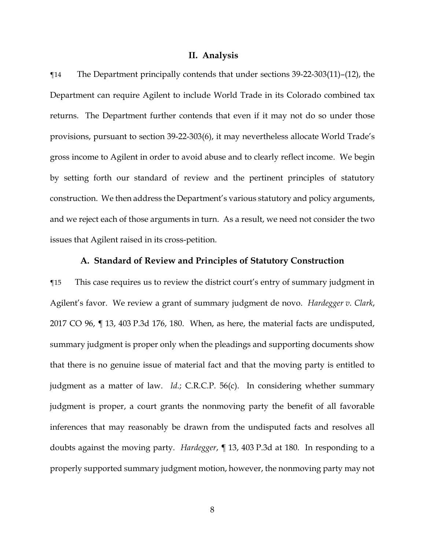### **II. Analysis**

¶14 The Department principally contends that under sections 39-22-303(11)–(12), the Department can require Agilent to include World Trade in its Colorado combined tax returns. The Department further contends that even if it may not do so under those provisions, pursuant to section 39-22-303(6), it may nevertheless allocate World Trade's gross income to Agilent in order to avoid abuse and to clearly reflect income. We begin by setting forth our standard of review and the pertinent principles of statutory construction. We then address the Department's various statutory and policy arguments, and we reject each of those arguments in turn. As a result, we need not consider the two issues that Agilent raised in its cross-petition.

## **A. Standard of Review and Principles of Statutory Construction**

¶15 This case requires us to review the district court's entry of summary judgment in Agilent's favor. We review a grant of summary judgment de novo. *Hardegger v. Clark*, 2017 CO 96, ¶ 13, 403 P.3d 176, 180. When, as here, the material facts are undisputed, summary judgment is proper only when the pleadings and supporting documents show that there is no genuine issue of material fact and that the moving party is entitled to judgment as a matter of law. *Id.*; C.R.C.P. 56(c). In considering whether summary judgment is proper, a court grants the nonmoving party the benefit of all favorable inferences that may reasonably be drawn from the undisputed facts and resolves all doubts against the moving party. *Hardegger*, ¶ 13, 403 P.3d at 180. In responding to a properly supported summary judgment motion, however, the nonmoving party may not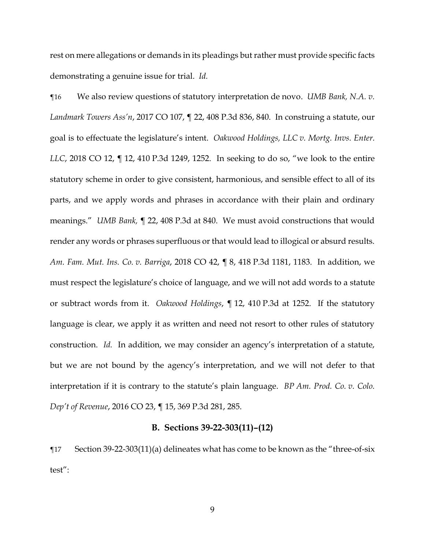rest on mere allegations or demands in its pleadings but rather must provide specific facts demonstrating a genuine issue for trial. *Id.*

¶16 We also review questions of statutory interpretation de novo. *UMB Bank, N.A. v. Landmark Towers Ass'n*, 2017 CO 107, ¶ 22, 408 P.3d 836, 840. In construing a statute, our goal is to effectuate the legislature's intent. *Oakwood Holdings, LLC v. Mortg. Invs. Enter. LLC*, 2018 CO 12, ¶ 12, 410 P.3d 1249, 1252. In seeking to do so, "we look to the entire statutory scheme in order to give consistent, harmonious, and sensible effect to all of its parts, and we apply words and phrases in accordance with their plain and ordinary meanings." *UMB Bank,* ¶ 22, 408 P.3d at 840. We must avoid constructions that would render any words or phrases superfluous or that would lead to illogical or absurd results. *Am. Fam. Mut. Ins. Co. v. Barriga*, 2018 CO 42, ¶ 8, 418 P.3d 1181, 1183. In addition, we must respect the legislature's choice of language, and we will not add words to a statute or subtract words from it. *Oakwood Holdings*, ¶ 12, 410 P.3d at 1252. If the statutory language is clear, we apply it as written and need not resort to other rules of statutory construction. *Id.* In addition, we may consider an agency's interpretation of a statute, but we are not bound by the agency's interpretation, and we will not defer to that interpretation if it is contrary to the statute's plain language. *BP Am. Prod. Co. v. Colo. Dep't of Revenue*, 2016 CO 23, ¶ 15, 369 P.3d 281, 285.

### **B. Sections 39-22-303(11)–(12)**

¶17 Section 39-22-303(11)(a) delineates what has come to be known as the "three-of-six test":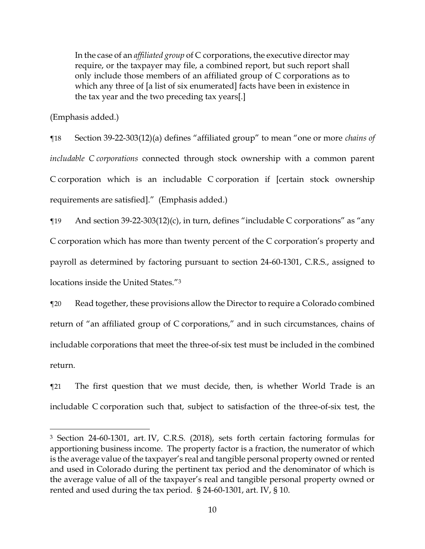In the case of an *affiliated group* of C corporations, the executive director may require, or the taxpayer may file, a combined report, but such report shall only include those members of an affiliated group of C corporations as to which any three of [a list of six enumerated] facts have been in existence in the tax year and the two preceding tax years[.]

(Emphasis added.)

 $\overline{\phantom{a}}$ 

¶18 Section 39-22-303(12)(a) defines "affiliated group" to mean "one or more *chains of includable C corporations* connected through stock ownership with a common parent C corporation which is an includable C corporation if [certain stock ownership requirements are satisfied]." (Emphasis added.)

 $\P$ 19 And section 39-22-303(12)(c), in turn, defines "includable C corporations" as "any C corporation which has more than twenty percent of the C corporation's property and payroll as determined by factoring pursuant to section 24-60-1301, C.R.S., assigned to locations inside the United States."<sup>3</sup>

¶20 Read together, these provisions allow the Director to require a Colorado combined return of "an affiliated group of C corporations," and in such circumstances, chains of includable corporations that meet the three-of-six test must be included in the combined return.

¶21 The first question that we must decide, then, is whether World Trade is an includable C corporation such that, subject to satisfaction of the three-of-six test, the

<sup>3</sup> Section 24-60-1301, art. IV, C.R.S. (2018), sets forth certain factoring formulas for apportioning business income. The property factor is a fraction, the numerator of which is the average value of the taxpayer's real and tangible personal property owned or rented and used in Colorado during the pertinent tax period and the denominator of which is the average value of all of the taxpayer's real and tangible personal property owned or rented and used during the tax period. § 24-60-1301, art. IV, § 10.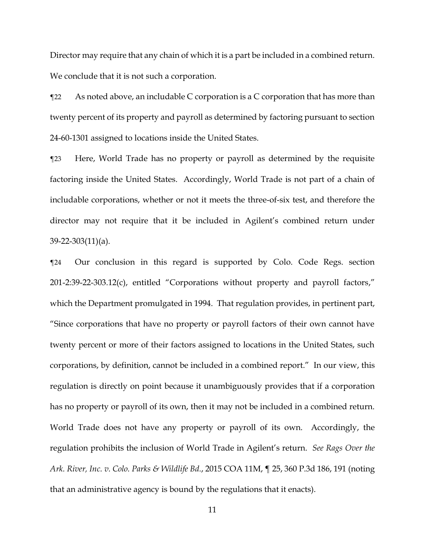Director may require that any chain of which it is a part be included in a combined return. We conclude that it is not such a corporation.

¶22 As noted above, an includable C corporation is a C corporation that has more than twenty percent of its property and payroll as determined by factoring pursuant to section 24-60-1301 assigned to locations inside the United States.

¶23 Here, World Trade has no property or payroll as determined by the requisite factoring inside the United States. Accordingly, World Trade is not part of a chain of includable corporations, whether or not it meets the three-of-six test, and therefore the director may not require that it be included in Agilent's combined return under 39-22-303(11)(a).

¶24 Our conclusion in this regard is supported by Colo. Code Regs. section 201-2:39-22-303.12(c), entitled "Corporations without property and payroll factors," which the Department promulgated in 1994. That regulation provides, in pertinent part, "Since corporations that have no property or payroll factors of their own cannot have twenty percent or more of their factors assigned to locations in the United States, such corporations, by definition, cannot be included in a combined report." In our view, this regulation is directly on point because it unambiguously provides that if a corporation has no property or payroll of its own, then it may not be included in a combined return. World Trade does not have any property or payroll of its own. Accordingly, the regulation prohibits the inclusion of World Trade in Agilent's return. *See Rags Over the Ark. River, Inc. v. Colo. Parks & Wildlife Bd.*, 2015 COA 11M, ¶ 25, 360 P.3d 186, 191 (noting that an administrative agency is bound by the regulations that it enacts).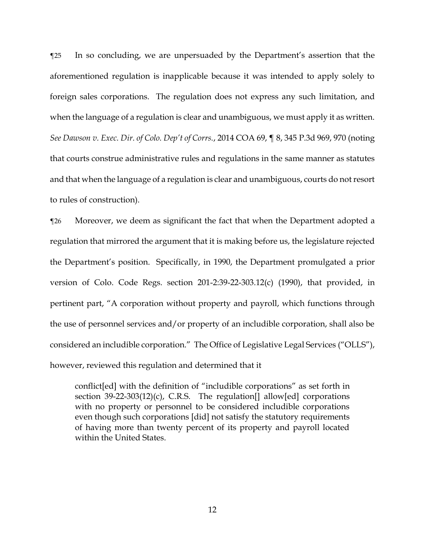¶25 In so concluding, we are unpersuaded by the Department's assertion that the aforementioned regulation is inapplicable because it was intended to apply solely to foreign sales corporations. The regulation does not express any such limitation, and when the language of a regulation is clear and unambiguous, we must apply it as written. *See Dawson v. Exec. Dir. of Colo. Dep't of Corrs.*, 2014 COA 69, ¶ 8, 345 P.3d 969, 970 (noting that courts construe administrative rules and regulations in the same manner as statutes and that when the language of a regulation is clear and unambiguous, courts do not resort to rules of construction).

¶26 Moreover, we deem as significant the fact that when the Department adopted a regulation that mirrored the argument that it is making before us, the legislature rejected the Department's position. Specifically, in 1990, the Department promulgated a prior version of Colo. Code Regs. section 201-2:39-22-303.12(c) (1990), that provided, in pertinent part, "A corporation without property and payroll, which functions through the use of personnel services and/or property of an includible corporation, shall also be considered an includible corporation." The Office of Legislative Legal Services ("OLLS"), however, reviewed this regulation and determined that it

conflict[ed] with the definition of "includible corporations" as set forth in section  $39-22-303(12)(c)$ , C.R.S. The regulation[] allow[ed] corporations with no property or personnel to be considered includible corporations even though such corporations [did] not satisfy the statutory requirements of having more than twenty percent of its property and payroll located within the United States.

12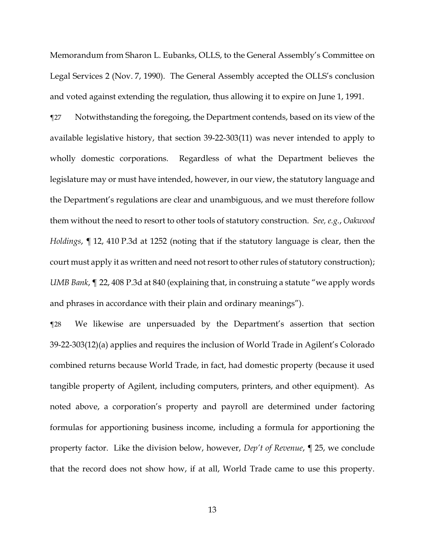Memorandum from Sharon L. Eubanks, OLLS, to the General Assembly's Committee on Legal Services 2 (Nov. 7, 1990). The General Assembly accepted the OLLS's conclusion and voted against extending the regulation, thus allowing it to expire on June 1, 1991.

¶27 Notwithstanding the foregoing, the Department contends, based on its view of the available legislative history, that section 39-22-303(11) was never intended to apply to wholly domestic corporations. Regardless of what the Department believes the legislature may or must have intended, however, in our view, the statutory language and the Department's regulations are clear and unambiguous, and we must therefore follow them without the need to resort to other tools of statutory construction. *See, e.g.*, *Oakwood Holdings*, ¶ 12, 410 P.3d at 1252 (noting that if the statutory language is clear, then the court must apply it as written and need not resort to other rules of statutory construction); *UMB Bank*, ¶ 22, 408 P.3d at 840 (explaining that, in construing a statute "we apply words and phrases in accordance with their plain and ordinary meanings").

¶28 We likewise are unpersuaded by the Department's assertion that section 39-22-303(12)(a) applies and requires the inclusion of World Trade in Agilent's Colorado combined returns because World Trade, in fact, had domestic property (because it used tangible property of Agilent, including computers, printers, and other equipment). As noted above, a corporation's property and payroll are determined under factoring formulas for apportioning business income, including a formula for apportioning the property factor. Like the division below, however, *Dep't of Revenue*, ¶ 25, we conclude that the record does not show how, if at all, World Trade came to use this property.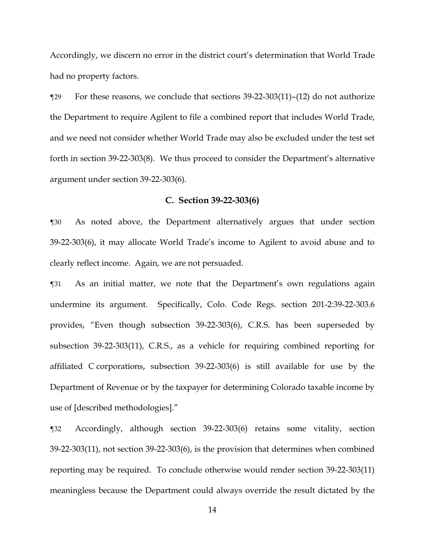Accordingly, we discern no error in the district court's determination that World Trade had no property factors.

¶29 For these reasons, we conclude that sections 39-22-303(11)–(12) do not authorize the Department to require Agilent to file a combined report that includes World Trade, and we need not consider whether World Trade may also be excluded under the test set forth in section 39-22-303(8). We thus proceed to consider the Department's alternative argument under section 39-22-303(6).

### **C. Section 39-22-303(6)**

¶30 As noted above, the Department alternatively argues that under section 39-22-303(6), it may allocate World Trade's income to Agilent to avoid abuse and to clearly reflect income. Again, we are not persuaded.

¶31 As an initial matter, we note that the Department's own regulations again undermine its argument. Specifically, Colo. Code Regs. section 201-2:39-22-303.6 provides, "Even though subsection 39-22-303(6), C.R.S. has been superseded by subsection 39-22-303(11), C.R.S., as a vehicle for requiring combined reporting for affiliated C corporations, subsection 39-22-303(6) is still available for use by the Department of Revenue or by the taxpayer for determining Colorado taxable income by use of [described methodologies]."

¶32 Accordingly, although section 39-22-303(6) retains some vitality, section 39-22-303(11), not section 39-22-303(6), is the provision that determines when combined reporting may be required. To conclude otherwise would render section 39-22-303(11) meaningless because the Department could always override the result dictated by the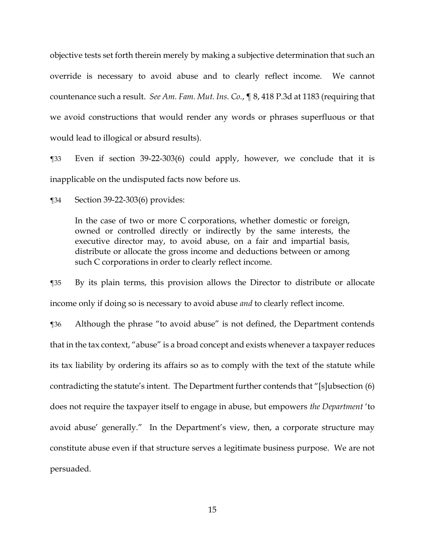objective tests set forth therein merely by making a subjective determination that such an override is necessary to avoid abuse and to clearly reflect income. We cannot countenance such a result. *See Am. Fam. Mut. Ins. Co.*, ¶ 8, 418 P.3d at 1183 (requiring that we avoid constructions that would render any words or phrases superfluous or that would lead to illogical or absurd results).

¶33 Even if section 39-22-303(6) could apply, however, we conclude that it is inapplicable on the undisputed facts now before us.

¶34 Section 39-22-303(6) provides:

In the case of two or more C corporations, whether domestic or foreign, owned or controlled directly or indirectly by the same interests, the executive director may, to avoid abuse, on a fair and impartial basis, distribute or allocate the gross income and deductions between or among such C corporations in order to clearly reflect income.

¶35 By its plain terms, this provision allows the Director to distribute or allocate income only if doing so is necessary to avoid abuse *and* to clearly reflect income.

¶36 Although the phrase "to avoid abuse" is not defined, the Department contends that in the tax context, "abuse" is a broad concept and exists whenever a taxpayer reduces its tax liability by ordering its affairs so as to comply with the text of the statute while contradicting the statute's intent. The Department further contends that "[s]ubsection (6) does not require the taxpayer itself to engage in abuse, but empowers *the Department* 'to avoid abuse' generally." In the Department's view, then, a corporate structure may constitute abuse even if that structure serves a legitimate business purpose. We are not persuaded.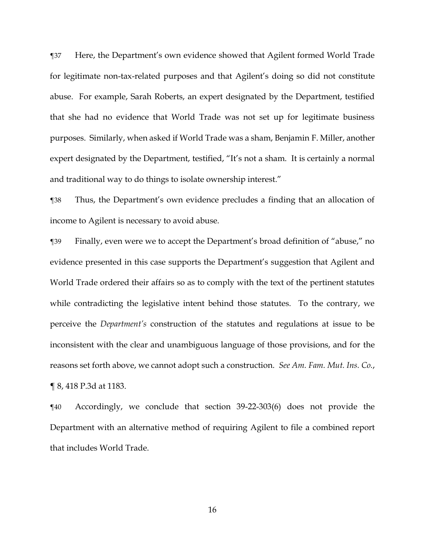¶37 Here, the Department's own evidence showed that Agilent formed World Trade for legitimate non-tax-related purposes and that Agilent's doing so did not constitute abuse. For example, Sarah Roberts, an expert designated by the Department, testified that she had no evidence that World Trade was not set up for legitimate business purposes. Similarly, when asked if World Trade was a sham, Benjamin F. Miller, another expert designated by the Department, testified, "It's not a sham. It is certainly a normal and traditional way to do things to isolate ownership interest."

¶38 Thus, the Department's own evidence precludes a finding that an allocation of income to Agilent is necessary to avoid abuse.

¶39 Finally, even were we to accept the Department's broad definition of "abuse," no evidence presented in this case supports the Department's suggestion that Agilent and World Trade ordered their affairs so as to comply with the text of the pertinent statutes while contradicting the legislative intent behind those statutes. To the contrary, we perceive the *Department's* construction of the statutes and regulations at issue to be inconsistent with the clear and unambiguous language of those provisions, and for the reasons set forth above, we cannot adopt such a construction. *See Am. Fam. Mut. Ins. Co.*, ¶ 8, 418 P.3d at 1183.

¶40 Accordingly, we conclude that section 39-22-303(6) does not provide the Department with an alternative method of requiring Agilent to file a combined report that includes World Trade.

16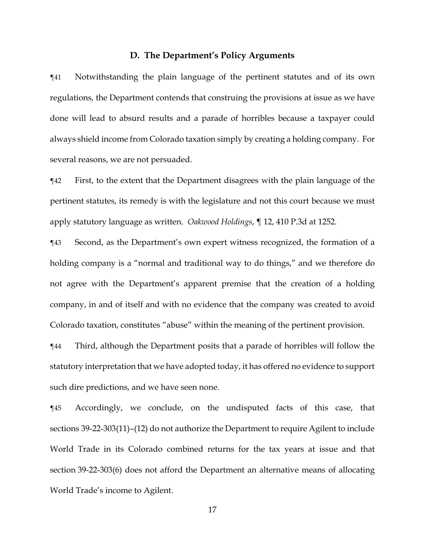### **D. The Department's Policy Arguments**

¶41 Notwithstanding the plain language of the pertinent statutes and of its own regulations, the Department contends that construing the provisions at issue as we have done will lead to absurd results and a parade of horribles because a taxpayer could always shield income from Colorado taxation simply by creating a holding company. For several reasons, we are not persuaded.

¶42 First, to the extent that the Department disagrees with the plain language of the pertinent statutes, its remedy is with the legislature and not this court because we must apply statutory language as written. *Oakwood Holdings*, ¶ 12, 410 P.3d at 1252.

¶43 Second, as the Department's own expert witness recognized, the formation of a holding company is a "normal and traditional way to do things," and we therefore do not agree with the Department's apparent premise that the creation of a holding company, in and of itself and with no evidence that the company was created to avoid Colorado taxation, constitutes "abuse" within the meaning of the pertinent provision.

¶44 Third, although the Department posits that a parade of horribles will follow the statutory interpretation that we have adopted today, it has offered no evidence to support such dire predictions, and we have seen none.

¶45 Accordingly, we conclude, on the undisputed facts of this case, that sections 39-22-303(11)–(12) do not authorize the Department to require Agilent to include World Trade in its Colorado combined returns for the tax years at issue and that section 39-22-303(6) does not afford the Department an alternative means of allocating World Trade's income to Agilent.

17